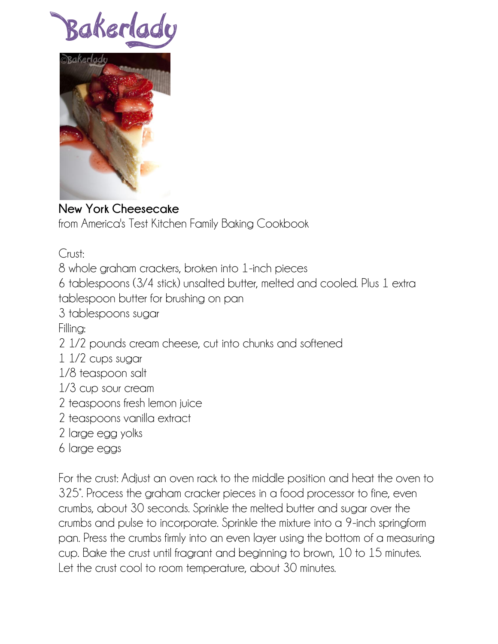Bakerla



## **New York Cheesecake**

from America's Test Kitchen Family Baking Cookbook

Crust:

8 whole graham crackers, broken into 1-inch pieces

6 tablespoons (3/4 stick) unsalted butter, melted and cooled. Plus 1 extra tablespoon butter for brushing on pan

3 tablespoons sugar

Filling:

2 1/2 pounds cream cheese, cut into chunks and softened

- 1 1/2 cups sugar
- 1/8 teaspoon salt
- 1/3 cup sour cream
- 2 teaspoons fresh lemon juice
- 2 teaspoons vanilla extract
- 2 large egg yolks
- 6 large eggs

For the crust: Adjust an oven rack to the middle position and heat the oven to 325°. Process the graham cracker pieces in a food processor to fine, even crumbs, about 30 seconds. Sprinkle the melted butter and sugar over the crumbs and pulse to incorporate. Sprinkle the mixture into a 9-inch springform pan. Press the crumbs firmly into an even layer using the bottom of a measuring cup. Bake the crust until fragrant and beginning to brown, 10 to 15 minutes. Let the crust cool to room temperature, about 30 minutes.